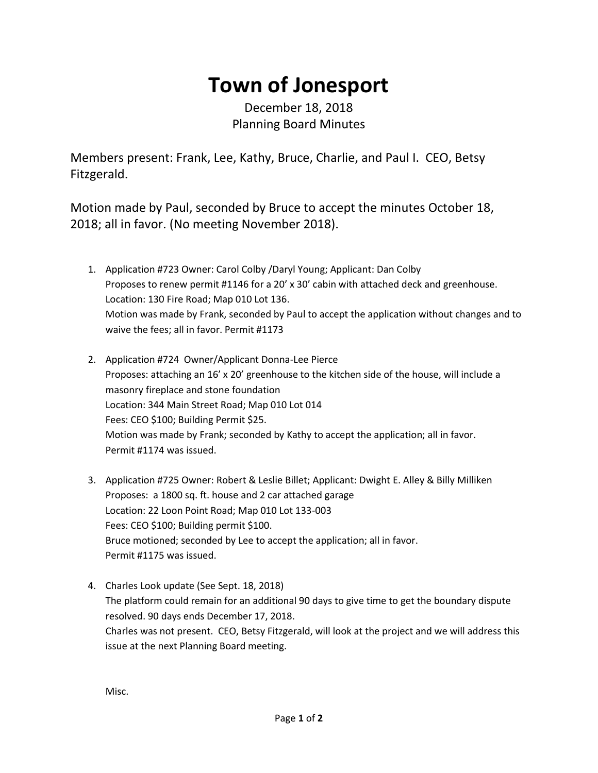## **Town of Jonesport**

December 18, 2018 Planning Board Minutes

Members present: Frank, Lee, Kathy, Bruce, Charlie, and Paul I. CEO, Betsy Fitzgerald.

Motion made by Paul, seconded by Bruce to accept the minutes October 18, 2018; all in favor. (No meeting November 2018).

- 1. Application #723 Owner: Carol Colby /Daryl Young; Applicant: Dan Colby Proposes to renew permit #1146 for a 20' x 30' cabin with attached deck and greenhouse. Location: 130 Fire Road; Map 010 Lot 136. Motion was made by Frank, seconded by Paul to accept the application without changes and to waive the fees; all in favor. Permit #1173
- 2. Application #724 Owner/Applicant Donna-Lee Pierce Proposes: attaching an 16' x 20' greenhouse to the kitchen side of the house, will include a masonry fireplace and stone foundation Location: 344 Main Street Road; Map 010 Lot 014 Fees: CEO \$100; Building Permit \$25. Motion was made by Frank; seconded by Kathy to accept the application; all in favor. Permit #1174 was issued.
- 3. Application #725 Owner: Robert & Leslie Billet; Applicant: Dwight E. Alley & Billy Milliken Proposes: a 1800 sq. ft. house and 2 car attached garage Location: 22 Loon Point Road; Map 010 Lot 133-003 Fees: CEO \$100; Building permit \$100. Bruce motioned; seconded by Lee to accept the application; all in favor. Permit #1175 was issued.
- 4. Charles Look update (See Sept. 18, 2018) The platform could remain for an additional 90 days to give time to get the boundary dispute resolved. 90 days ends December 17, 2018. Charles was not present. CEO, Betsy Fitzgerald, will look at the project and we will address this issue at the next Planning Board meeting.

Misc.